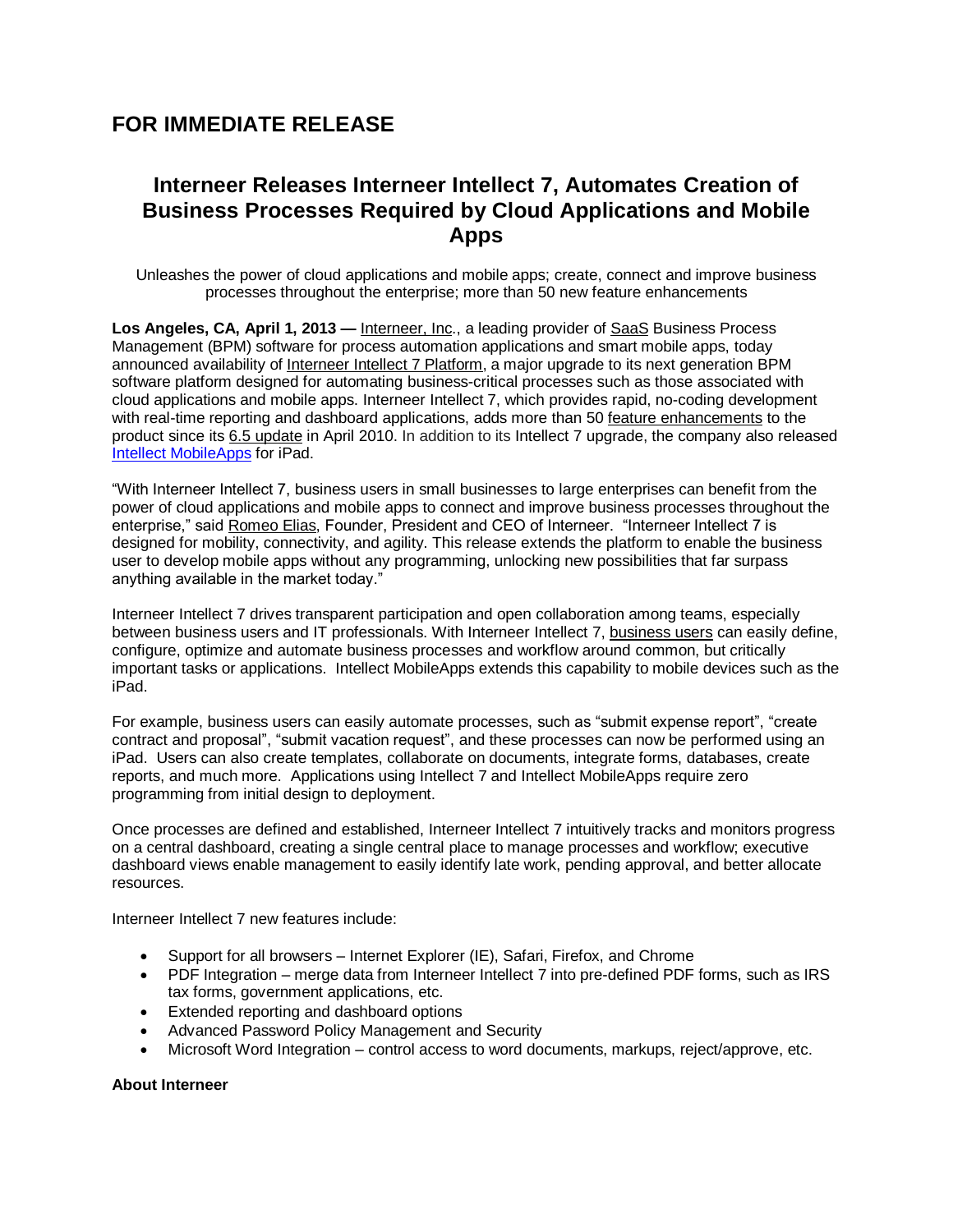## **FOR IMMEDIATE RELEASE**

## **Interneer Releases Interneer Intellect 7, Automates Creation of Business Processes Required by Cloud Applications and Mobile Apps**

Unleashes the power of cloud applications and mobile apps; create, connect and improve business processes throughout the enterprise; more than 50 new feature enhancements

**Los Angeles, CA, April 1, 2013 —** [Interneer, Inc.](http://www.interneer.com/), a leading provider of [SaaS](http://www.interneer.com/hosted-workflow-products--services/intellect-cloud/) Business Process Management (BPM) software for process automation applications and smart mobile apps, today announced availability of [Interneer Intellect 7 Platform,](http://www.interneer.com/interneer-intellect/) a major upgrade to its next generation BPM software platform designed for automating business-critical processes such as those associated with cloud applications and mobile apps. Interneer Intellect 7, which provides rapid, no-coding development with real-time reporting and dashboard applications, adds more than 50 [feature enhancements](http://www.interneer.com/workflow-automation-interneer-intellect-features/) to the product since its [6.5 update](http://www.interneer.com/Portals/90848/docs/v65pr.pdf) in April 2010. In addition to its Intellect 7 upgrade, the company also released [Intellect MobileApps](http://www.interneer.com/intellect-mobileapps/) for iPad.

"With Interneer Intellect 7, business users in small businesses to large enterprises can benefit from the power of cloud applications and mobile apps to connect and improve business processes throughout the enterprise," said [Romeo Elias,](http://www.interneer.com/workflow-business-process-management-software-about-us/our-team/) Founder, President and CEO of Interneer. "Interneer Intellect 7 is designed for mobility, connectivity, and agility. This release extends the platform to enable the business user to develop mobile apps without any programming, unlocking new possibilities that far surpass anything available in the market today."

Interneer Intellect 7 drives transparent participation and open collaboration among teams, especially between business users and IT professionals. With Interneer Intellect 7, [business](http://www.interneer.com/workflow-business-process-management-software-about-us/company-overview/) users can easily define, configure, optimize and automate business processes and workflow around common, but critically important tasks or applications. Intellect MobileApps extends this capability to mobile devices such as the iPad.

For example, business users can easily automate processes, such as "submit expense report", "create contract and proposal", "submit vacation request", and these processes can now be performed using an iPad. Users can also create templates, collaborate on documents, integrate forms, databases, create reports, and much more. Applications using Intellect 7 and Intellect MobileApps require zero programming from initial design to deployment.

Once processes are defined and established, Interneer Intellect 7 intuitively tracks and monitors progress on a central dashboard, creating a single central place to manage processes and workflow; executive dashboard views enable management to easily identify late work, pending approval, and better allocate resources.

Interneer Intellect 7 new features include:

- Support for all browsers Internet Explorer (IE), Safari, Firefox, and Chrome
- PDF Integration merge data from Interneer Intellect 7 into pre-defined PDF forms, such as IRS tax forms, government applications, etc.
- Extended reporting and dashboard options
- Advanced Password Policy Management and Security
- Microsoft Word Integration control access to word documents, markups, reject/approve, etc.

## **About Interneer**